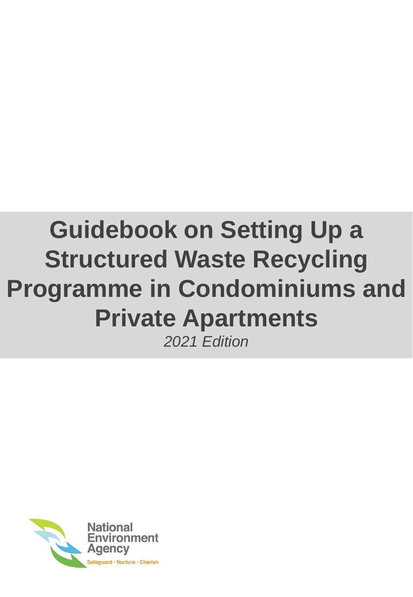# **Guidebook on Setting Up a Structured Waste Recycling Programme in Condominiums and Private Apartments** *2021 Edition*

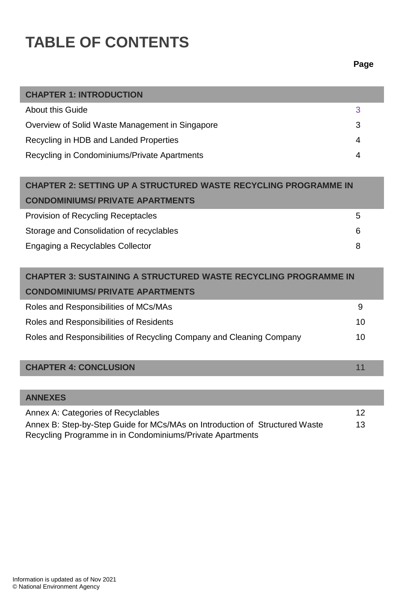# **TABLE OF CONTENTS**

#### **Page**

I

| <b>CHAPTER 1: INTRODUCTION</b>                  |   |
|-------------------------------------------------|---|
| About this Guide                                | 3 |
| Overview of Solid Waste Management in Singapore | 3 |
| Recycling in HDB and Landed Properties          | 4 |
| Recycling in Condominiums/Private Apartments    | 4 |

| <b>CHAPTER 2: SETTING UP A STRUCTURED WASTE RECYCLING PROGRAMME IN</b> |   |
|------------------------------------------------------------------------|---|
| <b>CONDOMINIUMS/ PRIVATE APARTMENTS</b>                                |   |
| <b>Provision of Recycling Receptacles</b>                              | 5 |
| Storage and Consolidation of recyclables                               | 6 |
| Engaging a Recyclables Collector                                       | 8 |

| <b>CHAPTER 3: SUSTAINING A STRUCTURED WASTE RECYCLING PROGRAMME IN</b> |    |
|------------------------------------------------------------------------|----|
| <b>CONDOMINIUMS/ PRIVATE APARTMENTS</b>                                |    |
| Roles and Responsibilities of MCs/MAs                                  | 9  |
| Roles and Responsibilities of Residents                                | 10 |
| Roles and Responsibilities of Recycling Company and Cleaning Company   | 10 |

#### **CHAPTER 4: CONCLUSION** 11

| <b>ANNEXES</b>                                                              |     |
|-----------------------------------------------------------------------------|-----|
| Annex A: Categories of Recyclables                                          | -12 |
| Annex B: Step-by-Step Guide for MCs/MAs on Introduction of Structured Waste | 13  |
| Recycling Programme in in Condominiums/Private Apartments                   |     |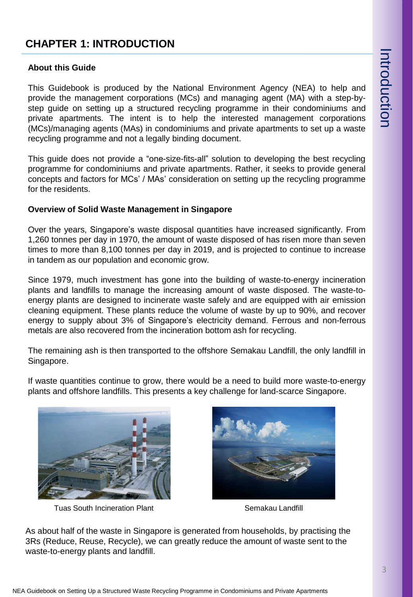# **CHAPTER 1: INTRODUCTION**

#### **About this Guide**

This Guidebook is produced by the National Environment Agency (NEA) to help and provide the management corporations (MCs) and managing agent (MA) with a step-bystep guide on setting up a structured recycling programme in their condominiums and private apartments. The intent is to help the interested management corporations (MCs)/managing agents (MAs) in condominiums and private apartments to set up a waste recycling programme and not a legally binding document.

This guide does not provide a "one-size-fits-all" solution to developing the best recycling programme for condominiums and private apartments. Rather, it seeks to provide general concepts and factors for MCs' / MAs' consideration on setting up the recycling programme for the residents.

#### **Overview of Solid Waste Management in Singapore**

Over the years, Singapore's waste disposal quantities have increased significantly. From 1,260 tonnes per day in 1970, the amount of waste disposed of has risen more than seven times to more than 8,100 tonnes per day in 2019, and is projected to continue to increase in tandem as our population and economic grow.

Since 1979, much investment has gone into the building of waste-to-energy incineration plants and landfills to manage the increasing amount of waste disposed. The waste-toenergy plants are designed to incinerate waste safely and are equipped with air emission cleaning equipment. These plants reduce the volume of waste by up to 90%, and recover energy to supply about 3% of Singapore's electricity demand. Ferrous and non-ferrous metals are also recovered from the incineration bottom ash for recycling.

The remaining ash is then transported to the offshore Semakau Landfill, the only landfill in Singapore.

If waste quantities continue to grow, there would be a need to build more waste-to-energy plants and offshore landfills. This presents a key challenge for land-scarce Singapore.



Tuas South Incineration Plant Semakau Landfill



As about half of the waste in Singapore is generated from households, by practising the 3Rs (Reduce, Reuse, Recycle), we can greatly reduce the amount of waste sent to the waste-to-energy plants and landfill.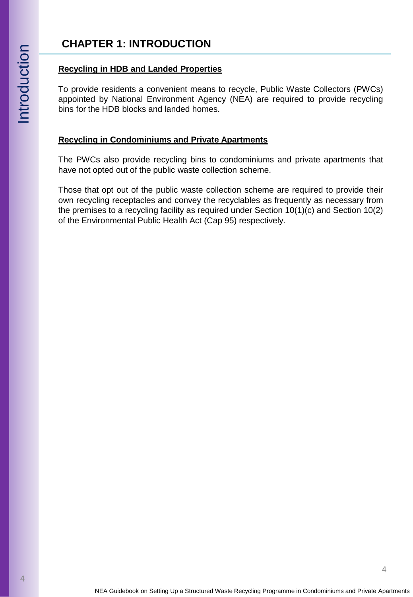# **CHAPTER 1: INTRODUCTION**

#### **Recycling in HDB and Landed Properties**

To provide residents a convenient means to recycle, Public Waste Collectors (PWCs) appointed by National Environment Agency (NEA) are required to provide recycling bins for the HDB blocks and landed homes.

#### **Recycling in Condominiums and Private Apartments**

The PWCs also provide recycling bins to condominiums and private apartments that have not opted out of the public waste collection scheme.

Those that opt out of the public waste collection scheme are required to provide their own recycling receptacles and convey the recyclables as frequently as necessary from the premises to a recycling facility as required under Section 10(1)(c) and Section 10(2) of the Environmental Public Health Act (Cap 95) respectively.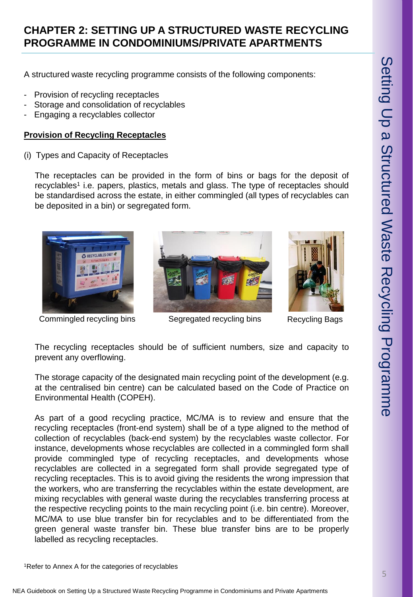## **CHAPTER 2: SETTING UP A STRUCTURED WASTE RECYCLING PROGRAMME IN CONDOMINIUMS/PRIVATE APARTMENTS**

A structured waste recycling programme consists of the following components:

- Provision of recycling receptacles
- Storage and consolidation of recyclables
- Engaging a recyclables collector

#### **Provision of Recycling Receptacles**

(i) Types and Capacity of Receptacles

The receptacles can be provided in the form of bins or bags for the deposit of recyclables<sup>1</sup> i.e. papers, plastics, metals and glass. The type of receptacles should be standardised across the estate, in either commingled (all types of recyclables can be deposited in a bin) or segregated form.







Commingled recycling bins Segregated recycling bins Recycling Bags

The recycling receptacles should be of sufficient numbers, size and capacity to prevent any overflowing.

The storage capacity of the designated main recycling point of the development (e.g. at the centralised bin centre) can be calculated based on the Code of Practice on Environmental Health (COPEH).

As part of a good recycling practice, MC/MA is to review and ensure that the recycling receptacles (front-end system) shall be of a type aligned to the method of collection of recyclables (back-end system) by the recyclables waste collector. For instance, developments whose recyclables are collected in a commingled form shall provide commingled type of recycling receptacles, and developments whose recyclables are collected in a segregated form shall provide segregated type of recycling receptacles. This is to avoid giving the residents the wrong impression that the workers, who are transferring the recyclables within the estate development, are mixing recyclables with general waste during the recyclables transferring process at the respective recycling points to the main recycling point (i.e. bin centre). Moreover, MC/MA to use blue transfer bin for recyclables and to be differentiated from the green general waste transfer bin. These blue transfer bins are to be properly labelled as recycling receptacles.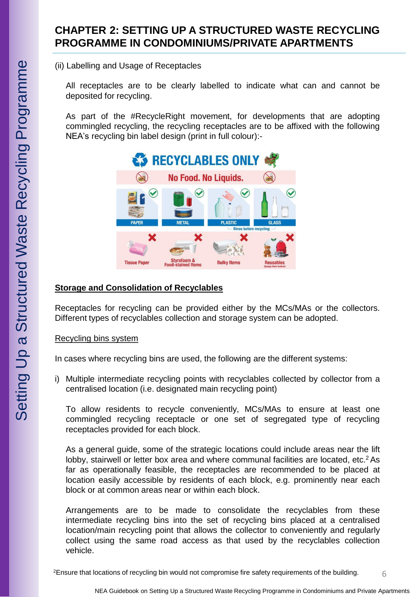(ii) Labelling and Usage of Receptacles

All receptacles are to be clearly labelled to indicate what can and cannot be deposited for recycling.

As part of the #RecycleRight movement, for developments that are adopting commingled recycling, the recycling receptacles are to be affixed with the following NEA's recycling bin label design (print in full colour):-



### **Storage and Consolidation of Recyclables**

Receptacles for recycling can be provided either by the MCs/MAs or the collectors. Different types of recyclables collection and storage system can be adopted.

#### Recycling bins system

In cases where recycling bins are used, the following are the different systems:

i) Multiple intermediate recycling points with recyclables collected by collector from a centralised location (i.e. designated main recycling point)

To allow residents to recycle conveniently, MCs/MAs to ensure at least one commingled recycling receptacle or one set of segregated type of recycling receptacles provided for each block.

As a general guide, some of the strategic locations could include areas near the lift lobby, stairwell or letter box area and where communal facilities are located, etc.<sup>2</sup> As far as operationally feasible, the receptacles are recommended to be placed at location easily accessible by residents of each block, e.g. prominently near each block or at common areas near or within each block.

Arrangements are to be made to consolidate the recyclables from these intermediate recycling bins into the set of recycling bins placed at a centralised location/main recycling point that allows the collector to conveniently and regularly collect using the same road access as that used by the recyclables collection vehicle.

6 2Ensure that locations of recycling bin would not compromise fire safety requirements of the building.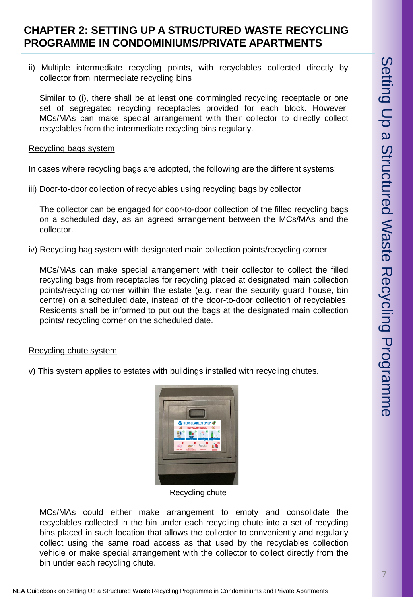### **CHAPTER 2: SETTING UP A STRUCTURED WASTE RECYCLING PROGRAMME IN CONDOMINIUMS/PRIVATE APARTMENTS**

ii) Multiple intermediate recycling points, with recyclables collected directly by collector from intermediate recycling bins

Similar to (i), there shall be at least one commingled recycling receptacle or one set of segregated recycling receptacles provided for each block. However, MCs/MAs can make special arrangement with their collector to directly collect recyclables from the intermediate recycling bins regularly.

#### Recycling bags system

In cases where recycling bags are adopted, the following are the different systems:

iii) Door-to-door collection of recyclables using recycling bags by collector

The collector can be engaged for door-to-door collection of the filled recycling bags on a scheduled day, as an agreed arrangement between the MCs/MAs and the collector.

iv) Recycling bag system with designated main collection points/recycling corner

MCs/MAs can make special arrangement with their collector to collect the filled recycling bags from receptacles for recycling placed at designated main collection points/recycling corner within the estate (e.g. near the security guard house, bin centre) on a scheduled date, instead of the door-to-door collection of recyclables. Residents shall be informed to put out the bags at the designated main collection points/ recycling corner on the scheduled date.

#### Recycling chute system

v) This system applies to estates with buildings installed with recycling chutes.



Recycling chute

MCs/MAs could either make arrangement to empty and consolidate the recyclables collected in the bin under each recycling chute into a set of recycling bins placed in such location that allows the collector to conveniently and regularly collect using the same road access as that used by the recyclables collection vehicle or make special arrangement with the collector to collect directly from the bin under each recycling chute.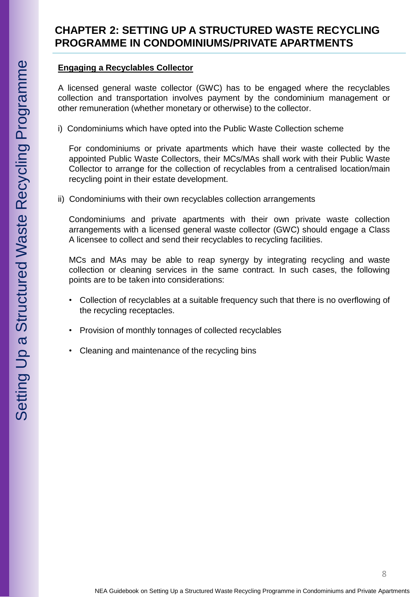#### **Engaging a Recyclables Collector**

A licensed general waste collector (GWC) has to be engaged where the recyclables collection and transportation involves payment by the condominium management or other remuneration (whether monetary or otherwise) to the collector.

i) Condominiums which have opted into the Public Waste Collection scheme

For condominiums or private apartments which have their waste collected by the appointed Public Waste Collectors, their MCs/MAs shall work with their Public Waste Collector to arrange for the collection of recyclables from a centralised location/main recycling point in their estate development.

ii) Condominiums with their own recyclables collection arrangements

Condominiums and private apartments with their own private waste collection arrangements with a licensed general waste collector (GWC) should engage a Class A licensee to collect and send their recyclables to recycling facilities.

MCs and MAs may be able to reap synergy by integrating recycling and waste collection or cleaning services in the same contract. In such cases, the following points are to be taken into considerations:

- Collection of recyclables at a suitable frequency such that there is no overflowing of the recycling receptacles.
- Provision of monthly tonnages of collected recyclables
- Cleaning and maintenance of the recycling bins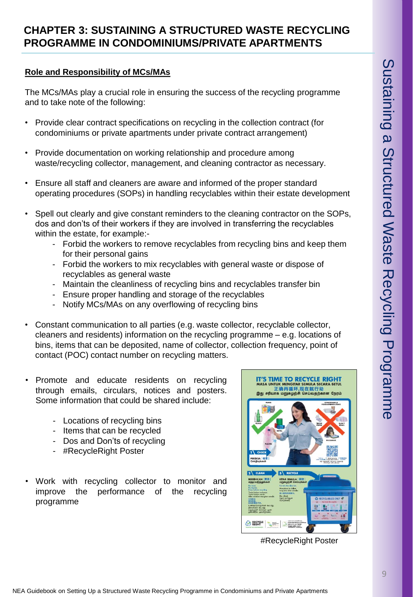# **CHAPTER 3: SUSTAINING A STRUCTURED WASTE RECYCLING PROGRAMME IN CONDOMINIUMS/PRIVATE APARTMENTS**

#### **Role and Responsibility of MCs/MAs**

The MCs/MAs play a crucial role in ensuring the success of the recycling programme and to take note of the following:

- Provide clear contract specifications on recycling in the collection contract (for condominiums or private apartments under private contract arrangement)
- Provide documentation on working relationship and procedure among waste/recycling collector, management, and cleaning contractor as necessary.
- Ensure all staff and cleaners are aware and informed of the proper standard operating procedures (SOPs) in handling recyclables within their estate development
- Spell out clearly and give constant reminders to the cleaning contractor on the SOPs, dos and don'ts of their workers if they are involved in transferring the recyclables within the estate, for example:-
	- Forbid the workers to remove recyclables from recycling bins and keep them for their personal gains
	- Forbid the workers to mix recyclables with general waste or dispose of recyclables as general waste
	- Maintain the cleanliness of recycling bins and recyclables transfer bin
	- Ensure proper handling and storage of the recyclables
	- Notify MCs/MAs on any overflowing of recycling bins
- Constant communication to all parties (e.g. waste collector, recyclable collector, cleaners and residents) information on the recycling programme – e.g. locations of bins, items that can be deposited, name of collector, collection frequency, point of contact (POC) contact number on recycling matters.
- Promote and educate residents on recycling through emails, circulars, notices and posters. Some information that could be shared include:
	- Locations of recycling bins
	- Items that can be recycled
	- Dos and Don'ts of recycling
	- #RecycleRight Poster
- Work with recycling collector to monitor and improve the performance of the recycling programme



#RecycleRight Poster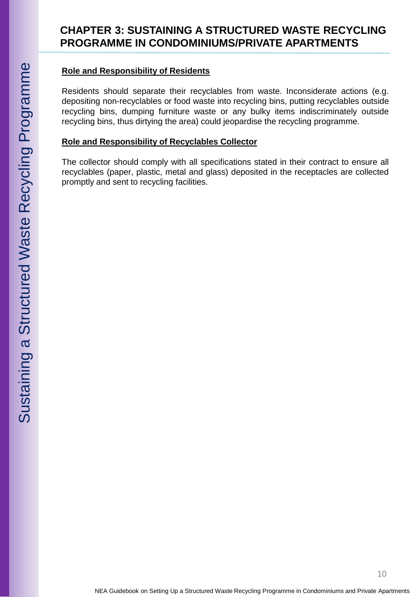#### **Role and Responsibility of Residents**

Residents should separate their recyclables from waste. Inconsiderate actions (e.g. depositing non -recyclables or food waste into recycling bins, putting recyclables outside recycling bins, dumping furniture waste or any bulky items indiscriminately outside recycling bins, thus dirtying the area) could jeopardise the recycling programme .

#### **Role and Responsibility of Recyclables Collector**

The collector should comply with all specifications stated in their contract to ensure all recyclables (paper, plastic, metal and glass) deposited in the receptacles are collected promptly and sent to recycling facilities .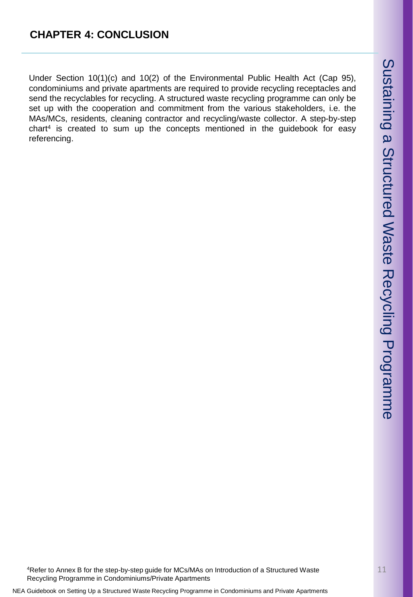Under Section 10(1)(c) and 10(2) of the Environmental Public Health Act (Cap 95), condominiums and private apartments are required to provide recycling receptacles and send the recyclables for recycling. A structured waste recycling programme can only be set up with the cooperation and commitment from the various stakeholders, i.e. the MAs/MCs, residents, cleaning contractor and recycling/waste collector. A step-by-step chart<sup>4</sup> is created to sum up the concepts mentioned in the guidebook for easy referencing.

<sup>4</sup>Refer to Annex B for the step-by-step guide for MCs/MAs on Introduction of a Structured Waste Recycling Programme in Condominiums/Private Apartments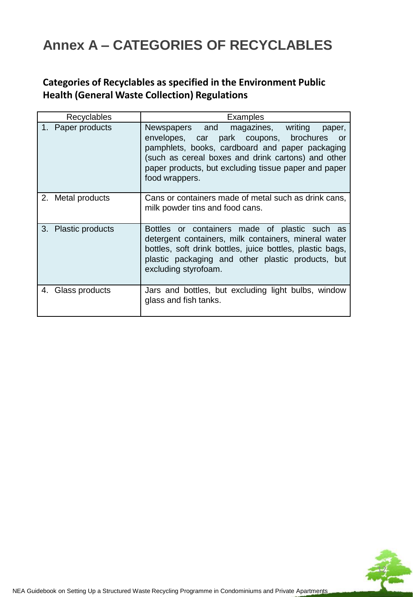# **Annex A – CATEGORIES OF RECYCLABLES**

# **Categories of Recyclables as specified in the Environment Public Health (General Waste Collection) Regulations**

| Recyclables         | Examples                                                                                                                                                                                                                                                                          |
|---------------------|-----------------------------------------------------------------------------------------------------------------------------------------------------------------------------------------------------------------------------------------------------------------------------------|
| 1. Paper products   | Newspapers and<br>magazines, writing<br>paper,<br>envelopes, car park coupons, brochures<br>or<br>pamphlets, books, cardboard and paper packaging<br>(such as cereal boxes and drink cartons) and other<br>paper products, but excluding tissue paper and paper<br>food wrappers. |
| 2. Metal products   | Cans or containers made of metal such as drink cans,<br>milk powder tins and food cans.                                                                                                                                                                                           |
| 3. Plastic products | Bottles or containers made of plastic such as<br>detergent containers, milk containers, mineral water<br>bottles, soft drink bottles, juice bottles, plastic bags,<br>plastic packaging and other plastic products, but<br>excluding styrofoam.                                   |
| 4. Glass products   | Jars and bottles, but excluding light bulbs, window<br>glass and fish tanks.                                                                                                                                                                                                      |